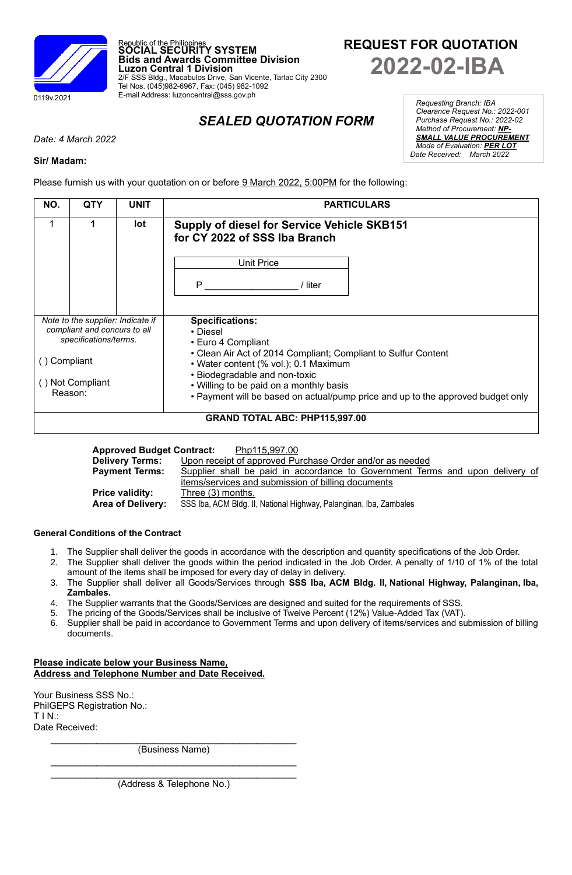

**REQUEST FOR QUOTATION 2022-02-IBA**

# *SEALED QUOTATION FORM*

*Date: 4 March 2022*

### **Sir/ Madam:**

Please furnish us with your quotation on or before 9 March 2022, 5:00PM for the following:

Republic of the Philippines **SOCIAL SECURITY SYSTEM**

Tel Nos. (045)982-6967, Fax: (045) 982-1092 E-mail Address: luzoncentral@sss.gov.ph

**Luzon Central 1 Division**

**Bids and Awards Committee Division**

2/F SSS Bldg., Macabulos Drive, San Vicente, Tarlac City 2300

| NO.                                                               | QTY | <b>UNIT</b> | <b>PARTICULARS</b>                                                                                                                       |  |  |  |  |
|-------------------------------------------------------------------|-----|-------------|------------------------------------------------------------------------------------------------------------------------------------------|--|--|--|--|
|                                                                   | 1   | lot         | <b>Supply of diesel for Service Vehicle SKB151</b><br>for CY 2022 of SSS Iba Branch                                                      |  |  |  |  |
|                                                                   |     |             | Unit Price                                                                                                                               |  |  |  |  |
|                                                                   |     |             | P<br>/ liter                                                                                                                             |  |  |  |  |
|                                                                   |     |             |                                                                                                                                          |  |  |  |  |
| Note to the supplier: Indicate if<br>compliant and concurs to all |     |             | <b>Specifications:</b><br>• Diesel                                                                                                       |  |  |  |  |
| specifications/terms.                                             |     |             | • Euro 4 Compliant                                                                                                                       |  |  |  |  |
| Compliant                                                         |     |             | • Clean Air Act of 2014 Compliant; Compliant to Sulfur Content<br>• Water content (% vol.); 0.1 Maximum<br>• Biodegradable and non-toxic |  |  |  |  |
| () Not Compliant                                                  |     |             | • Willing to be paid on a monthly basis                                                                                                  |  |  |  |  |
| Reason:                                                           |     |             | • Payment will be based on actual/pump price and up to the approved budget only                                                          |  |  |  |  |
| <b>GRAND TOTAL ABC: PHP115,997.00</b>                             |     |             |                                                                                                                                          |  |  |  |  |

| <b>Approved Budget Contract:</b><br>Php115,997.00 |                                                                               |  |  |  |  |  |  |  |
|---------------------------------------------------|-------------------------------------------------------------------------------|--|--|--|--|--|--|--|
| <b>Delivery Terms:</b>                            | Upon receipt of approved Purchase Order and/or as needed                      |  |  |  |  |  |  |  |
| <b>Payment Terms:</b>                             | Supplier shall be paid in accordance to Government Terms and upon delivery of |  |  |  |  |  |  |  |
|                                                   | items/services and submission of billing documents                            |  |  |  |  |  |  |  |
| <b>Price validity:</b>                            | Three (3) months.                                                             |  |  |  |  |  |  |  |
| Area of Delivery:                                 | SSS Iba, ACM Bldg. II, National Highway, Palanginan, Iba, Zambales            |  |  |  |  |  |  |  |
|                                                   |                                                                               |  |  |  |  |  |  |  |

#### **General Conditions of the Contract**

- 1. The Supplier shall deliver the goods in accordance with the description and quantity specifications of the Job Order.
- 2. The Supplier shall deliver the goods within the period indicated in the Job Order. A penalty of 1/10 of 1% of the total amount of the items shall be imposed for every day of delay in delivery.
- 3. The Supplier shall deliver all Goods/Services through **SSS Iba, ACM Bldg. II, National Highway, Palanginan, Iba, Zambales.**
- 4. The Supplier warrants that the Goods/Services are designed and suited for the requirements of SSS.
- 5. The pricing of the Goods/Services shall be inclusive of Twelve Percent (12%) Value-Added Tax (VAT).
- 6. Supplier shall be paid in accordance to Government Terms and upon delivery of items/services and submission of billing documents.

## **Please indicate below your Business Name, Address and Telephone Number and Date Received.**

Your Business SSS No.: PhilGEPS Registration No.: T I N.: Date Received:

> $\mathcal{L}_\text{max}$  , where  $\mathcal{L}_\text{max}$  and  $\mathcal{L}_\text{max}$  and  $\mathcal{L}_\text{max}$  and  $\mathcal{L}_\text{max}$ (Business Name)  $\mathcal{L}_\text{max}$  , where  $\mathcal{L}_\text{max}$  and  $\mathcal{L}_\text{max}$  and  $\mathcal{L}_\text{max}$  and  $\mathcal{L}_\text{max}$

> $\mathcal{L}_\text{max}$  , which is a set of the set of the set of the set of the set of the set of the set of the set of the set of the set of the set of the set of the set of the set of the set of the set of the set of the set of (Address & Telephone No.)

*Requesting Branch: IBA Clearance Request No.: 2022-001 Purchase Request No.: 2022-02 Method of Procurement: NP-SMALL VALUE PROCUREMENT Mode of Evaluation: PER LOT Date Received: March 2022*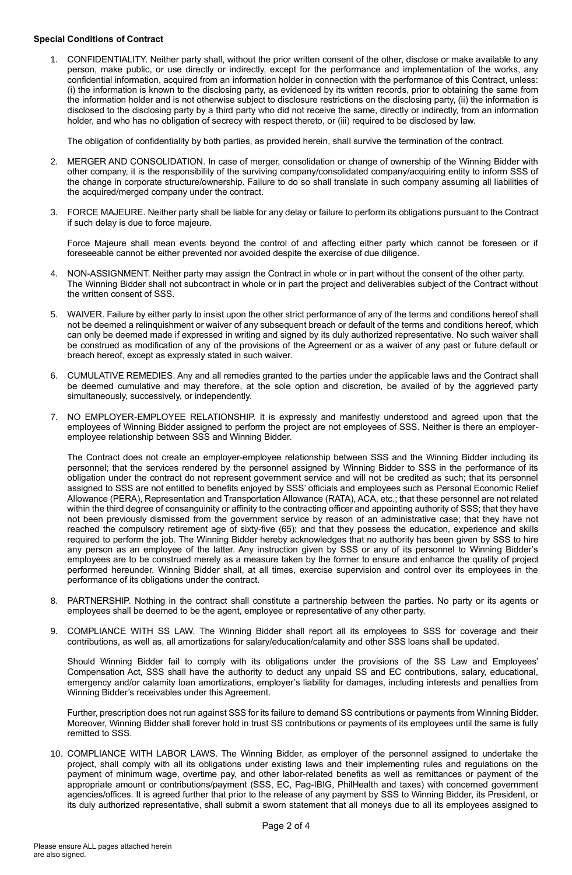#### **Special Conditions of Contract**

1. CONFIDENTIALITY. Neither party shall, without the prior written consent of the other, disclose or make available to any person, make public, or use directly or indirectly, except for the performance and implementation of the works, any confidential information, acquired from an information holder in connection with the performance of this Contract, unless: (i) the information is known to the disclosing party, as evidenced by its written records, prior to obtaining the same from the information holder and is not otherwise subject to disclosure restrictions on the disclosing party, (ii) the information is disclosed to the disclosing party by a third party who did not receive the same, directly or indirectly, from an information holder, and who has no obligation of secrecy with respect thereto, or (iii) required to be disclosed by law.

The obligation of confidentiality by both parties, as provided herein, shall survive the termination of the contract.

- 2. MERGER AND CONSOLIDATION. In case of merger, consolidation or change of ownership of the Winning Bidder with other company, it is the responsibility of the surviving company/consolidated company/acquiring entity to inform SSS of the change in corporate structure/ownership. Failure to do so shall translate in such company assuming all liabilities of the acquired/merged company under the contract.
- 3. FORCE MAJEURE. Neither party shall be liable for any delay or failure to perform its obligations pursuant to the Contract if such delay is due to force majeure.

Force Majeure shall mean events beyond the control of and affecting either party which cannot be foreseen or if foreseeable cannot be either prevented nor avoided despite the exercise of due diligence.

- 4. NON-ASSIGNMENT. Neither party may assign the Contract in whole or in part without the consent of the other party. The Winning Bidder shall not subcontract in whole or in part the project and deliverables subject of the Contract without the written consent of SSS.
- 5. WAIVER. Failure by either party to insist upon the other strict performance of any of the terms and conditions hereof shall not be deemed a relinquishment or waiver of any subsequent breach or default of the terms and conditions hereof, which can only be deemed made if expressed in writing and signed by its duly authorized representative. No such waiver shall be construed as modification of any of the provisions of the Agreement or as a waiver of any past or future default or breach hereof, except as expressly stated in such waiver.
- 6. CUMULATIVE REMEDIES. Any and all remedies granted to the parties under the applicable laws and the Contract shall be deemed cumulative and may therefore, at the sole option and discretion, be availed of by the aggrieved party simultaneously, successively, or independently.
- 7. NO EMPLOYER-EMPLOYEE RELATIONSHIP. It is expressly and manifestly understood and agreed upon that the employees of Winning Bidder assigned to perform the project are not employees of SSS. Neither is there an employeremployee relationship between SSS and Winning Bidder.

The Contract does not create an employer-employee relationship between SSS and the Winning Bidder including its personnel; that the services rendered by the personnel assigned by Winning Bidder to SSS in the performance of its obligation under the contract do not represent government service and will not be credited as such; that its personnel assigned to SSS are not entitled to benefits enjoyed by SSS' officials and employees such as Personal Economic Relief Allowance (PERA), Representation and Transportation Allowance (RATA), ACA, etc.; that these personnel are not related within the third degree of consanguinity or affinity to the contracting officer and appointing authority of SSS; that they have not been previously dismissed from the government service by reason of an administrative case; that they have not reached the compulsory retirement age of sixty-five (65); and that they possess the education, experience and skills required to perform the job. The Winning Bidder hereby acknowledges that no authority has been given by SSS to hire any person as an employee of the latter. Any instruction given by SSS or any of its personnel to Winning Bidder's employees are to be construed merely as a measure taken by the former to ensure and enhance the quality of project performed hereunder. Winning Bidder shall, at all times, exercise supervision and control over its employees in the performance of its obligations under the contract.

- 8. PARTNERSHIP. Nothing in the contract shall constitute a partnership between the parties. No party or its agents or employees shall be deemed to be the agent, employee or representative of any other party.
- 9. COMPLIANCE WITH SS LAW. The Winning Bidder shall report all its employees to SSS for coverage and their contributions, as well as, all amortizations for salary/education/calamity and other SSS loans shall be updated.

Should Winning Bidder fail to comply with its obligations under the provisions of the SS Law and Employees' Compensation Act, SSS shall have the authority to deduct any unpaid SS and EC contributions, salary, educational, emergency and/or calamity loan amortizations, employer's liability for damages, including interests and penalties from Winning Bidder's receivables under this Agreement.

Further, prescription does not run against SSS for its failure to demand SS contributions or payments from Winning Bidder. Moreover, Winning Bidder shall forever hold in trust SS contributions or payments of its employees until the same is fully remitted to SSS.

10. COMPLIANCE WITH LABOR LAWS. The Winning Bidder, as employer of the personnel assigned to undertake the project, shall comply with all its obligations under existing laws and their implementing rules and regulations on the payment of minimum wage, overtime pay, and other labor-related benefits as well as remittances or payment of the appropriate amount or contributions/payment (SSS, EC, Pag-IBIG, PhilHealth and taxes) with concerned government agencies/offices. It is agreed further that prior to the release of any payment by SSS to Winning Bidder, its President, or its duly authorized representative, shall submit a sworn statement that all moneys due to all its employees assigned to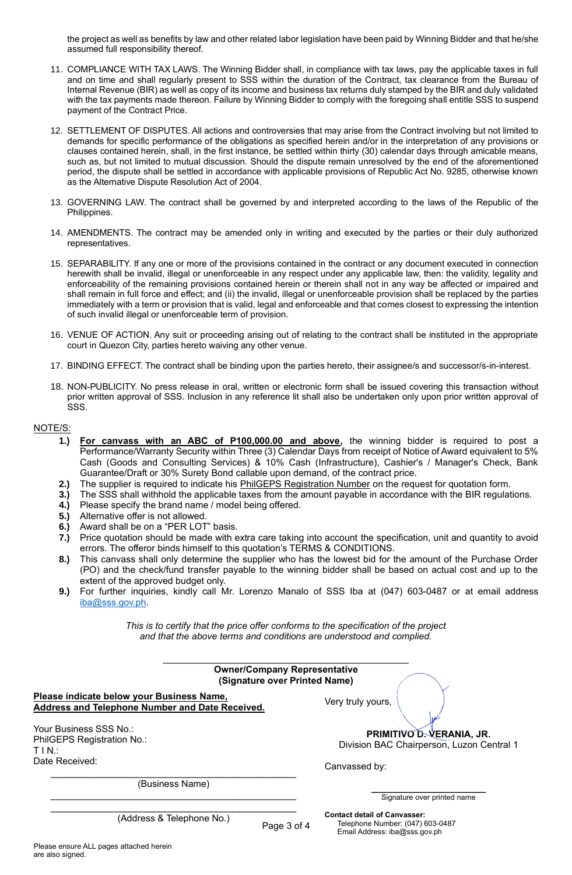the project as well as benefits by law and other related labor legislation have been paid by Winning Bidder and that he/she assumed full responsibility thereof.

- 11. COMPLIANCE WITH TAX LAWS. The Winning Bidder shall, in compliance with tax laws, pay the applicable taxes in full and on time and shall regularly present to SSS within the duration of the Contract, tax clearance from the Bureau of Internal Revenue (BIR) as well as copy of its income and business tax returns duly stamped by the BIR and duly validated with the tax payments made thereon. Failure by Winning Bidder to comply with the foregoing shall entitle SSS to suspend payment of the Contract Price.
- 12. SETTLEMENT OF DISPUTES. All actions and controversies that may arise from the Contract involving but not limited to demands for specific performance of the obligations as specified herein and/or in the interpretation of any provisions or clauses contained herein, shall, in the first instance, be settled within thirty (30) calendar days through amicable means, such as, but not limited to mutual discussion. Should the dispute remain unresolved by the end of the aforementioned period, the dispute shall be settled in accordance with applicable provisions of Republic Act No. 9285, otherwise known as the Alternative Dispute Resolution Act of 2004.
- 13. GOVERNING LAW. The contract shall be governed by and interpreted according to the laws of the Republic of the Philippines.
- 14. AMENDMENTS. The contract may be amended only in writing and executed by the parties or their duly authorized representatives.
- 15. SEPARABILITY. If any one or more of the provisions contained in the contract or any document executed in connection herewith shall be invalid, illegal or unenforceable in any respect under any applicable law, then: the validity, legality and enforceability of the remaining provisions contained herein or therein shall not in any way be affected or impaired and shall remain in full force and effect; and (ii) the invalid, illegal or unenforceable provision shall be replaced by the parties immediately with a term or provision that is valid, legal and enforceable and that comes closest to expressing the intention of such invalid illegal or unenforceable term of provision.
- 16. VENUE OF ACTION. Any suit or proceeding arising out of relating to the contract shall be instituted in the appropriate court in Quezon City, parties hereto waiving any other venue.
- 17. BINDING EFFECT. The contract shall be binding upon the parties hereto, their assignee/s and successor/s-in-interest.
- 18. NON-PUBLICITY. No press release in oral, written or electronic form shall be issued covering this transaction without prior written approval of SSS. Inclusion in any reference lit shall also be undertaken only upon prior written approval of SSS.

### NOTE/S:

- **1.) For canvass with an ABC of P100,000.00 and above,** the winning bidder is required to post a Performance/Warranty Security within Three (3) Calendar Days from receipt of Notice of Award equivalent to 5% Cash (Goods and Consulting Services) & 10% Cash (Infrastructure), Cashier's / Manager's Check, Bank Guarantee/Draft or 30% Surety Bond callable upon demand, of the contract price.
- **2.)** The supplier is required to indicate his PhilGEPS Registration Number on the request for quotation form.
- **3.)** The SSS shall withhold the applicable taxes from the amount payable in accordance with the BIR regulations.
- **4.)** Please specify the brand name / model being offered.
- **5.)** Alternative offer is not allowed.
- **6.)** Award shall be on a "PER LOT" basis.
- **7.)** Price quotation should be made with extra care taking into account the specification, unit and quantity to avoid errors. The offeror binds himself to this quotation's TERMS & CONDITIONS.
- **8.)** This canvass shall only determine the supplier who has the lowest bid for the amount of the Purchase Order (PO) and the check/fund transfer payable to the winning bidder shall be based on actual cost and up to the extent of the approved budget only.
- **9.)** For further inquiries, kindly call Mr. Lorenzo Manalo of SSS Iba at (047) 603-0487 or at email address iba@sss.gov.ph.

*This is to certify that the price offer conforms to the specification of the project and that the above terms and conditions are understood and complied.*

| <b>Owner/Company Representative</b><br>(Signature over Printed Name)                                |                                                                         |
|-----------------------------------------------------------------------------------------------------|-------------------------------------------------------------------------|
| Please indicate below your Business Name,<br><b>Address and Telephone Number and Date Received.</b> | Very truly yours,                                                       |
| Your Business SSS No.:<br>PhilGEPS Registration No.:<br>T I N.:                                     | PRIMITIVO D. VERANIA, JR.<br>Division BAC Chairperson, Luzon Central 1  |
| Date Received:                                                                                      | Canvassed by:                                                           |
| (Business Name)                                                                                     | Signature over printed name                                             |
| (Address & Telephone No.)<br>Page 3 of 4                                                            | <b>Contact detail of Canvasser:</b><br>Telephone Number: (047) 603-0487 |

Email Address: iba@sss.gov.ph